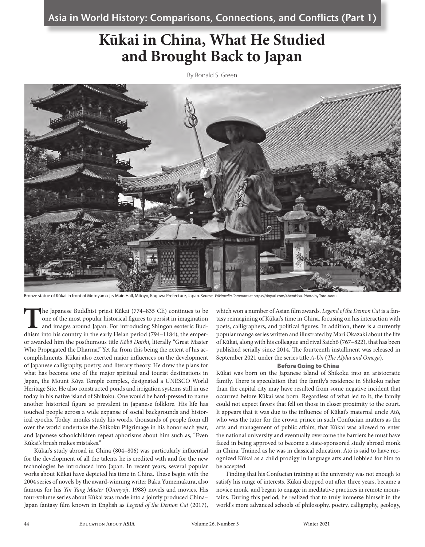# **Kūkai in China, What He Studied and Brought Back to Japan**

By Ronald S. Green



Bronze statue of Kūkai in front of Motoyama-ji's Main Hall, Mitoyo, Kagawa Prefecture, Japan. Source: *Wikimedia Commons* at https://tinyurl.com/4hend5su. Photo by Toto-tarou.

**T**he Japanese Buddhist priest Kūkai (774–835 CE) continues to be one of the most popular historical figures to persist in imagination and images around Japan. For introducing Shingon esoteric Buddhism into his country in the early Heian period (794–1184), the emperor awarded him the posthumous title *Kōbō Daishi*, literally "Great Master Who Propagated the Dharma." Yet far from this being the extent of his accomplishments, Kūkai also exerted major influences on the development of Japanese calligraphy, poetry, and literary theory. He drew the plans for what has become one of the major spiritual and tourist destinations in Japan, the Mount Kōya Temple complex, designated a UNESCO World Heritage Site. He also constructed ponds and irrigation systems still in use today in his native island of Shikoku. One would be hard-pressed to name another historical figure so prevalent in Japanese folklore. His life has touched people across a wide expanse of social backgrounds and historical epochs. Today, monks study his words, thousands of people from all over the world undertake the Shikoku Pilgrimage in his honor each year, and Japanese schoolchildren repeat aphorisms about him such as, "Even Kūkai's brush makes mistakes."

Kūkai's study abroad in China (804–806) was particularly influential for the development of all the talents he is credited with and for the new technologies he introduced into Japan. In recent years, several popular works about Kūkai have depicted his time in China. These begin with the 2004 series of novels by the award-winning writer Baku Yumemakura, also famous for his *Yin Yang Master* (*Onmyoji*, 1988) novels and movies. His four-volume series about Kūkai was made into a jointly produced China– Japan fantasy film known in English as *Legend of the Demon Cat* (2017),

which won a number of Asian film awards. *Legend of the Demon Cat* is a fantasy reimagining of Kūkai's time in China, focusing on his interaction with poets, calligraphers, and political figures. In addition, there is a currently popular manga series written and illustrated by Mari Okazaki about the life of Kūkai, along with his colleague and rival Saichō (767–822), that has been published serially since 2014. The fourteenth installment was released in September 2021 under the series title *A-Un* (*The Alpha and Omega*).

#### Before Going to China

Kūkai was born on the Japanese island of Shikoku into an aristocratic family. There is speculation that the family's residence in Shikoku rather than the capital city may have resulted from some negative incident that occurred before Kūkai was born. Regardless of what led to it, the family could not expect favors that fell on those in closer proximity to the court. It appears that it was due to the influence of Kūkai's maternal uncle Atō, who was the tutor for the crown prince in such Confucian matters as the arts and management of public affairs, that Kūkai was allowed to enter the national university and eventually overcome the barriers he must have faced in being approved to become a state-sponsored study abroad monk in China. Trained as he was in classical education, Atō is said to have recognized Kūkai as a child prodigy in language arts and lobbied for him to be accepted.

Finding that his Confucian training at the university was not enough to satisfy his range of interests, Kūkai dropped out after three years, became a novice monk, and began to engage in meditative practices in remote mountains. During this period, he realized that to truly immerse himself in the world's more advanced schools of philosophy, poetry, calligraphy, geology,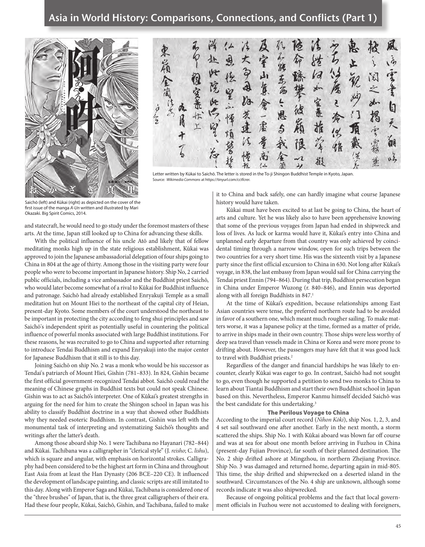### Asia in World History: Comparisons, Connections, and Conflicts (Part 1)



 $\partial$ 室山复 高  $\overline{r}$  $20 - 97$ 学系面 a so 會一震  $\frac{1}{2}$ 空氣 太智  $\mathbf G$ in the 溏 发達 恩 买 推  $\boldsymbol{\hat{5}}$ 青霜  $\sqrt{3}$ ára 甬 華 挺

Letter written by Kūkai to Saichō. The letter is stored in the To-ji Shingon Buddhist Temple in Kyoto, Japan. Source: *Wikimedia Commons* at https://tinyurl.com/cctfcrer.

Saichō (left) and Kūkai (right) as depicted on the cover of the first issue of the manga *A-Un* written and illustrated by Mari Okazaki. Big Spirit Comics, 2014.

and statecraft, he would need to go study under the foremost masters of these arts. At the time, Japan still looked up to China for advancing these skills.

With the political influence of his uncle Atō and likely that of fellow meditating monks high up in the state religious establishment, Kūkai was approved to join the Japanese ambassadorial delegation of four ships going to China in 804 at the age of thirty. Among those in the visiting party were four people who were to become important in Japanese history. Ship No, 2 carried public officials, including a vice ambassador and the Buddhist priest Saichō, who would later become somewhat of a rival to Kūkai for Buddhist influence and patronage. Saichō had already established Enryakuji Temple as a small meditation hut on Mount Hiei to the northeast of the capital city of Heian, present-day Kyoto. Some members of the court understood the northeast to be important in protecting the city according to feng shui principles and saw Saichō's independent spirit as potentially useful in countering the political influence of powerful monks associated with large Buddhist institutions. For these reasons, he was recruited to go to China and supported after returning to introduce Tendai Buddhism and expand Enryakuji into the major center for Japanese Buddhism that it still is to this day.

Joining Saichō on ship No. 2 was a monk who would be his successor as Tendai's patriarch of Mount Hiei, Gishin (781–833). In 824, Gishin became the first official government-recognized Tendai abbot. Saichō could read the meaning of Chinese graphs in Buddhist texts but could not speak Chinese. Gishin was to act as Saichō's interpreter. One of Kūkai's greatest strengths in arguing for the need for him to create the Shingon school in Japan was his ability to classify Buddhist doctrine in a way that showed other Buddhists why they needed esoteric Buddhism. In contrast, Gishin was left with the monumental task of interpreting and systematizing Saichō's thoughts and writings after the latter's death.

Among those aboard ship No. 1 were Tachibana no Hayanari (782–844) and Kūkai. Tachibana was a calligrapher in "clerical style" (J. *reisho*; C. *lishu*), which is square and angular, with emphasis on horizontal strokes. Calligraphy had been considered to be the highest art form in China and throughout East Asia from at least the Han Dynasty (206 BCE–220 CE). It influenced the development of landscape painting, and classic scripts are still imitated to this day. Along with Emperor Saga and Kūkai, Tachibana is considered one of the "three brushes" of Japan, that is, the three great calligraphers of their era. Had these four people, Kūkai, Saichō, Gishin, and Tachibana, failed to make it to China and back safely, one can hardly imagine what course Japanese history would have taken.

Kūkai must have been excited to at last be going to China, the heart of arts and culture. Yet he was likely also to have been apprehensive knowing that some of the previous voyages from Japan had ended in shipwreck and loss of lives. As luck or karma would have it, Kūkai's entry into China and unplanned early departure from that country was only achieved by coincidental timing through a narrow window, open for such trips between the two countries for a very short time. His was the sixteenth visit by a Japanese party since the first official excursion to China in 630. Not long after Kūkai's voyage, in 838, the last embassy from Japan would sail for China carrying the Tendai priest Ennin (794–864). During that trip, Buddhist persecution began in China under Emperor Wuzong (r. 840–846), and Ennin was deported along with all foreign Buddhists in 847.<sup>1</sup>

At the time of Kūkai's expedition, because relationships among East Asian countries were tense, the preferred northern route had to be avoided in favor of a southern one, which meant much rougher sailing. To make matters worse, it was a Japanese policy at the time, formed as a matter of pride, to arrive in ships made in their own country. Those ships were less worthy of deep sea travel than vessels made in China or Korea and were more prone to drifting about. However, the passengers may have felt that it was good luck to travel with Buddhist priests.<sup>2</sup>

Regardless of the danger and financial hardships he was likely to encounter, clearly Kūkai was eager to go. In contrast, Saichō had not sought to go, even though he supported a petition to send two monks to China to learn about Tiantai Buddhism and start their own Buddhist school in Japan based on this. Nevertheless, Emperor Kanmu himself decided Saichō was the best candidate for this undertaking.<sup>3</sup>

### The Perilous Voyage to China

According to the imperial court record (*Nihon Kōki*), ship Nos. 1, 2, 3, and 4 set sail southward one after another. Early in the next month, a storm scattered the ships. Ship No. 1 with Kūkai aboard was blown far off course and was at sea for about one month before arriving in Fuzhou in China (present-day Fujian Province), far south of their planned destination. The No. 2 ship drifted ashore at Mingzhou, in northern Zhejiang Province. Ship No. 3 was damaged and returned home, departing again in mid-805. This time, the ship drifted and shipwrecked on a deserted island in the southward. Circumstances of the No. 4 ship are unknown, although some records indicate it was also shipwrecked.

Because of ongoing political problems and the fact that local government officials in Fuzhou were not accustomed to dealing with foreigners,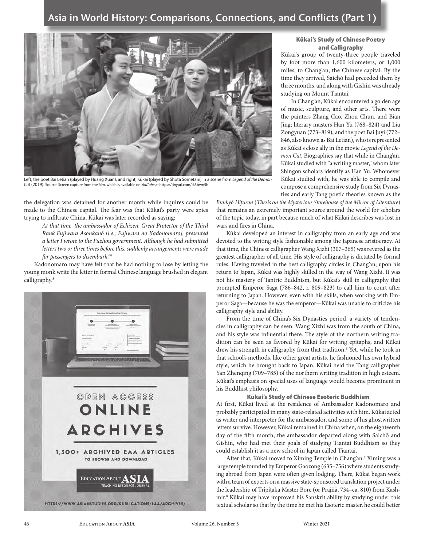

Left, the poet Bai Letian (played by Huang Xuan), and right, Kūkai (played by Shōta Sometani) in a scene from *Legend of the Demon Cat* (2019). Source: Screen capture from the film, which is available on *YouTube* at https://tinyurl.com/tk3bvm5h.

the delegation was detained for another month while inquires could be made to the Chinese capital. The fear was that Kūkai's party were spies trying to infiltrate China. Kūkai was later recorded as saying:

*At that time, the ambassador of Echizen, Great Protector of the Third Rank Fujiwara Asonkanō [i.e., Fujiwara no Kadonomaro], presented a letter I wrote to the Fuzhou government. Although he had submitted letters two or three times before this, suddenly arrangements were made for passengers to disembark."*<sup>4</sup>

Kadonomaro may have felt that he had nothing to lose by letting the young monk write the letter in formal Chinese language brushed in elegant calligraphy.<sup>5</sup>



### Kūkai's Study of Chinese Poetry and Calligraphy

Kūkai's group of twenty-three people traveled by foot more than 1,600 kilometers, or 1,000 miles, to Chang'an, the Chinese capital. By the time they arrived, Saichō had preceded them by three months, and along with Gishin was already studying on Mount Tiantai.

In Chang'an, Kūkai encountered a golden age of music, sculpture, and other arts. There were the painters Zhang Cao, Zhou Chun, and Bian Jing; literary masters Han Yu (768–824) and Liu Zongyuan (773–819); and the poet Bai Juyi (772– 846, also known as Bai Letian), who is represented as Kūkai's close ally in the movie *Legend of the Demon Cat*. Biographies say that while in Chang'an, Kūkai studied with "a writing master," whom later Shingon scholars identify as Han Yu. Whomever Kūkai studied with, he was able to compile and compose a comprehensive study from Six Dynasties and early Tang poetic theories known as the

*Bunkyō Hifuron* (*Thesis on the Mysterious Storehouse of the Mirror of Literature*) that remains an extremely important source around the world for scholars of the topic today, in part because much of what Kūkai describes was lost in wars and fires in China.

Kūkai developed an interest in calligraphy from an early age and was devoted to the writing style fashionable among the Japanese aristocracy. At that time, the Chinese calligrapher Wang Xizhi (307–365) was revered as the greatest calligrapher of all time. His style of calligraphy is dictated by formal rules. Having traveled in the best calligraphy circles in Chang'an, upon his return to Japan, Kūkai was highly skilled in the way of Wang Xizhi. It was not his mastery of Tantric Buddhism, but Kūkai's skill in calligraphy that prompted Emperor Saga (786–842, r. 809–823) to call him to court after returning to Japan. However, even with his skills, when working with Emperor Saga—because he was the emperor—Kūkai was unable to criticize his calligraphy style and ability.

From the time of China's Six Dynasties period, a variety of tendencies in calligraphy can be seen. Wang Xizhi was from the south of China, and his style was influential there. The style of the northern writing tradition can be seen as favored by Kūkai for writing epitaphs, and Kūkai drew his strength in calligraphy from that tradition.<sup>6</sup> Yet, while he took in that school's methods, like other great artists, he fashioned his own hybrid style, which he brought back to Japan. Kūkai held the Tang calligrapher Yan Zhenqing (709–785) of the northern writing tradition in high esteem. Kūkai's emphasis on special uses of language would become prominent in his Buddhist philosophy.

### Kūkai's Study of Chinese Esoteric Buddhism

At first, Kūkai lived at the residence of Ambassador Kadonomaro and probably participated in many state-related activities with him. Kūkai acted as writer and interpreter for the ambassador, and some of his ghostwritten letters survive. However, Kūkai remained in China when, on the eighteenth day of the fifth month, the ambassador departed along with Saichō and Gishin, who had met their goals of studying Tiantai Buddhism so they could establish it as a new school in Japan called Tiantai.

After that, Kūkai moved to Ximing Temple in Chang'an.<sup>7</sup> Ximing was a large temple founded by Emperor Gaozong (635–756) where students studying abroad from Japan were often given lodging. There, Kūkai began work with a team of experts on a massive state-sponsored translation project under the leadership of Tripiṭaka Master Bore (or Prajñā, 734–ca. 810) from Kashmir.8 Kūkai may have improved his Sanskrit ability by studying under this textual scholar so that by the time he met his Esoteric master, he could better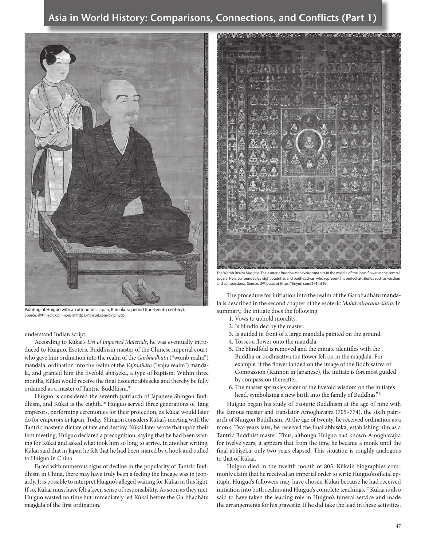### Asia in World History: Comparisons, Connections, and Conflicts (Part 1)



Painting of Huiguo with an attendant. Japan, Kamakura period (fourteenth century). Source: *Wikimedia Commons* at https://tinyurl.com/d7jcmycb.

understand Indian script.

According to Kūkai's *List of Imported Materials*, he was eventually introduced to Huiguo, Esoteric Buddhism master of the Chinese imperial court, who gave him ordination into the realm of the *Garbhadhātu* ("womb realm") maṇḍala, ordination into the realm of the *Vajradhātu* ("vajra realm") maṇḍala, and granted him the fivefold abhi*ṣ*eka, a type of baptism. Within three months, Kūkai would receive the final Esoteric abhiṣeka and thereby be fully ordained as a master of Tantric Buddhism.<sup>9</sup>

Huiguo is considered the seventh patriarch of Japanese Shingon Buddhism, and Kūkai is the eighth.10 Huiguo served three generations of Tang emperors, performing ceremonies for their protection, as Kūkai would later do for emperors in Japan. Today, Shingon considers Kūkai's meeting with the Tantric master a dictate of fate and destiny. Kūkai later wrote that upon their first meeting, Huiguo declared a precognition, saying that he had been waiting for Kūkai and asked what took him so long to arrive. In another writing, Kūkai said that in Japan he felt that he had been snared by a hook and pulled to Huiguo in China.

Faced with numerous signs of decline in the popularity of Tantric Buddhism in China, there may have truly been a feeling the lineage was in jeopardy. It is possible to interpret Huiguo's alleged waiting for Kūkai in this light. If so, Kūkai must have felt a keen sense of responsibility. As soon as they met, Huiguo wasted no time but immediately led Kūkai before the Garbhadhātu mandala of the first ordination.

The Womb Realm Maṇḍala. The esoteric Buddha Mahāvairocana sits in the middle of the lotus flower in the central square. He is surrounded by eight buddhas and bodhisattvas, who represent his perfect attributes such as wisdom and compassion.s. Source: *Wikipedia* at https://tinyurl.com/5x4tn39v.

The procedure for initiation into the realm of the Garbhadhātu mandala is described in the second chapter of the esoteric *Mahāvairocana-sūtra*. In summary, the initiate does the following:

- 1. Vows to uphold morality.
- 2. Is blindfolded by the master.
- 3. Is guided in front of a large mandala painted on the ground.
- 4. Tosses a flower onto the mandala.
- 5. The blindfold is removed and the initiate identifies with the Buddha or bodhisattva the flower fell on in the mandala. For example, if the flower landed on the image of the Bodhisattva of Compassion (Kannon in Japanese), the initiate is foremost guided by compassion thereafter.
- 6. The master sprinkles water of the fivefold wisdom on the initiate's head, symbolizing a new birth into the family of Buddhas."<sup>11</sup>

Huiguo began his study of Esoteric Buddhism at the age of nine with the famous master and translator Amoghavajra (705–774), the sixth patriarch of Shingon Buddhism. At the age of twenty, he received ordination as a monk. Two years later, he received the final abhiṣeka, establishing him as a Tantric Buddhist master. Thus, although Huiguo had known Amoghavajra for twelve years, it appears that from the time he became a monk until the final abhiṣeka, only two years elapsed. This situation is roughly analogous to that of Kūkai.

Huiguo died in the twelfth month of 805. Kūkai's biographies commonly claim that he received an imperial order to write Huiguo's official epitaph. Huiguo's followers may have chosen Kūkai because he had received initiation into both realms and Huiguo's complete teachings.12 Kūkai is also said to have taken the leading role in Huiguo's funeral service and made the arrangements for his gravesite. If he did take the lead in these activities,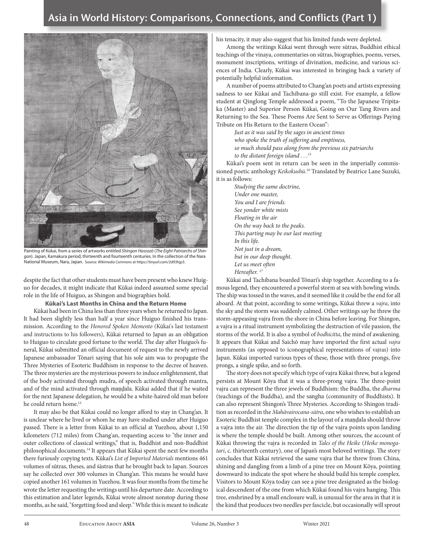

Painting of Kūkai, from a series of artworks entitled *Shingon Hassozō* (*The Eight Patriarchs of Shingon*). Japan, Kamakura period, thirteenth and fourteenth centuries. In the collection of the Nara National Museum, Nara, Japan. Source: *Wikimedia Commons* at https://tinyurl.com/2d93hjp3.

despite the fact that other students must have been present who knew Huiguo for decades, it might indicate that Kūkai indeed assumed some special role in the life of Huiguo, as Shingon and biographies hold.

### Kūkai's Last Months in China and the Return Home

Kūkai had been in China less than three years when he returned to Japan. It had been slightly less than half a year since Huiguo finished his transmission. According to the *Honored Spoken Memento* (Kūkai's last testament and instructions to his followers), Kūkai returned to Japan as an obligation to Huiguo to circulate good fortune to the world. The day after Huiguo's funeral, Kūkai submitted an official document of request to the newly arrived Japanese ambassador Tōnari saying that his sole aim was to propagate the Three Mysteries of Esoteric Buddhism in response to the decree of heaven. The three mysteries are the mysterious powers to induce enlightenment, that of the body activated through mudra, of speech activated through mantra, and of the mind activated through maṇḍala. Kūkai added that if he waited for the next Japanese delegation, he would be a white-haired old man before he could return home.<sup>13</sup>

It may also be that Kūkai could no longer afford to stay in Chang'an. It is unclear where he lived or whom he may have studied under after Huiguo passed. There is a letter from Kūkai to an official at Yuezhou, about 1,150 kilometers (712 miles) from Chang'an, requesting access to "the inner and outer collections of classical writings," that is, Buddhist and non-Buddhist philosophical documents.14 It appears that Kūkai spent the next few months there furiously copying texts. Kūkai's *List of Imported Materials* mentions 461 volumes of sūtras, theses, and śāstras that he brought back to Japan. Sources say he collected over 300 volumes in Chang'an. This means he would have copied another 161 volumes in Yuezhou. It was four months from the time he wrote the letter requesting the writings until his departure date. According to this estimation and later legends, Kūkai wrote almost nonstop during those months, as he said, "forgetting food and sleep." While this is meant to indicate

his tenacity, it may also suggest that his limited funds were depleted.

Among the writings Kūkai went through were sūtras, Buddhist ethical teachings of the vinaya, commentaries on sūtras, biographies, poems, verses, monument inscriptions, writings of divination, medicine, and various sciences of India. Clearly, Kūkai was interested in bringing back a variety of potentially helpful information.

A number of poems attributed to Chang'an poets and artists expressing sadness to see Kūkai and Tachibana-go still exist. For example, a fellow student at Qinglong Temple addressed a poem, "To the Japanese Tripiṭaka (Master) and Superior Person Kūkai, Going on Our Tang Rivers and Returning to the Sea. These Poems Are Sent to Serve as Offerings Paying Tribute on His Return to the Eastern Ocean":

*Just as it was said by the sages in ancient times who spoke the truth of suffering and emptiness, so much should pass along from the previous six patriarchs to the distant foreign island . . .15*

Kūkai's poem sent in return can be seen in the imperially commissioned poetic anthology *Keikokushū*. 16 Translated by Beatrice Lane Suzuki, it is as follows:

*Studying the same doctrine, Under one master, You and I are friends. See yonder white mists Floating in the air On the way back to the peaks. This parting may be our last meeting In this life. Not just in a dream, but in our deep thought. Let us meet often Hereafter. 17*

Kūkai and Tachibana boarded Tōnari's ship together. According to a famous legend, they encountered a powerful storm at sea with howling winds. The ship was tossed in the waves, and it seemed like it could be the end for all aboard. At that point, according to some writings, Kūkai threw a *vajra*, into the sky and the storm was suddenly calmed. Other writings say he threw the storm-appeasing vajra from the shore in China before leaving. For Shingon, a vajra is a ritual instrument symbolizing the destruction of vile passion, the storms of the world. It is also a symbol of *bodhicitta*, the mind of awakening. It appears that Kūkai and Saichō may have imported the first actual *vajra* instruments (as opposed to iconographical representations of vajras) into Japan. Kūkai imported various types of these, those with three prongs, five prongs, a single spike, and so forth.

The story does not specify which type of vajra Kūkai threw, but a legend persists at Mount Kōya that it was a three-prong vajra. The three-point vajra can represent the three jewels of Buddhism: the Buddha, the *dharma* (teachings of the Buddha), and the sangha (community of Buddhists). It can also represent Shingon's Three Mysteries. According to Shingon tradition as recorded in the *Mahāvairocana-sūtra*, one who wishes to establish an Esoteric Buddhist temple complex in the layout of a maṇḍala should throw a vajra into the air. The direction the tip of the vajra points upon landing is where the temple should be built. Among other sources, the account of Kūkai throwing the vajra is recorded in *Tales of the Heike* (*Heike monogatari*, c. thirteenth century), one of Japan's most beloved writings. The story concludes that Kūkai retrieved the same vajra that he threw from China, shining and dangling from a limb of a pine tree on Mount Kōya, pointing downward to indicate the spot where he should build his temple complex. Visitors to Mount Kōya today can see a pine tree designated as the biological descendent of the one from which Kūkai found his vajra hanging. This tree, enshrined by a small enclosure wall, is unusual for the area in that it is the kind that produces two needles per fascicle, but occasionally will sprout